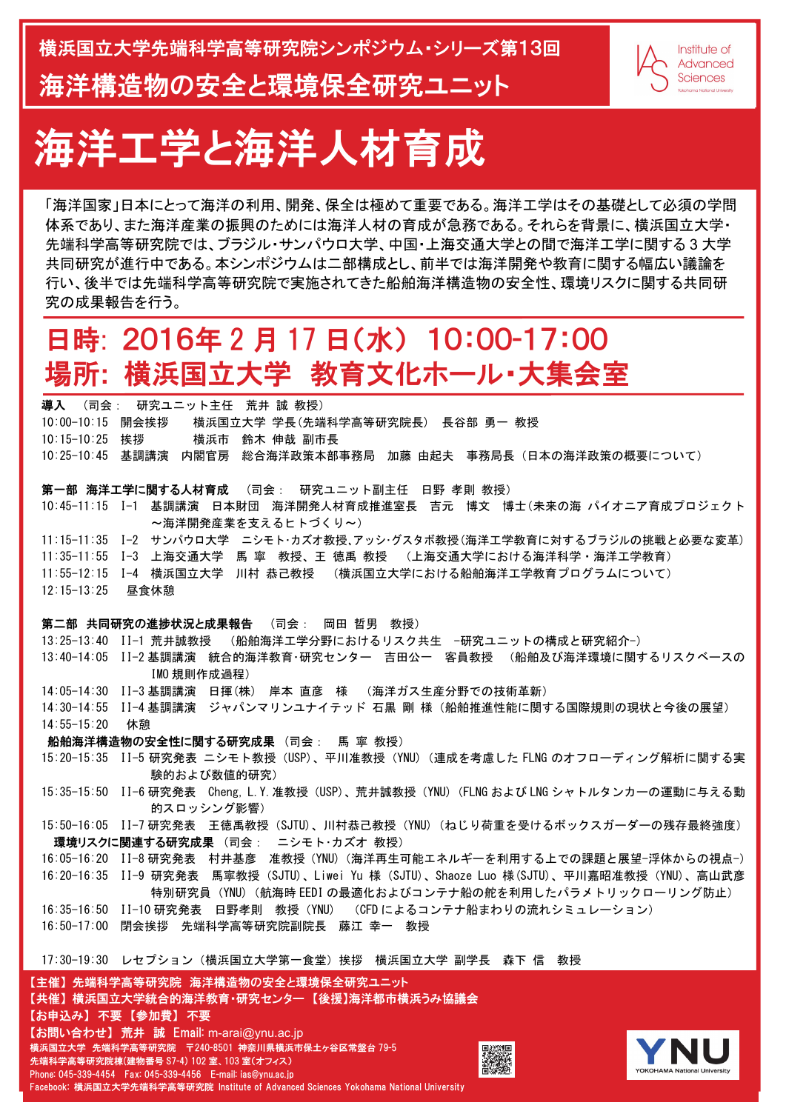## 日時: 2016年 2 月 17 日(水) 10:00-17:00 場所**:** 横浜国立大学 教育文化ホール・大集会室

「海洋国家」日本にとって海洋の利用、開発、保全は極めて重要である。海洋工学はその基礎として必須の学問 体系であり、また海洋産業の振興のためには海洋人材の育成が急務である。それらを背景に、横浜国立大学・ 先端科学高等研究院では、ブラジル・サンパウロ大学、中国・上海交通大学との間で海洋工学に関する 3 大学 共同研究が進行中である。本シンポジウムは二部構成とし、前半では海洋開発や教育に関する幅広い議論を 行い、後半では先端科学高等研究院で実施されてきた船舶海洋構造物の安全性、環境リスクに関する共同研 究の成果報告を行う。

- 13:25-13:40 II-1 荒井誠教授 (船舶海洋工学分野におけるリスク共生 -研究ユニットの構成と研究紹介-)
- 13:40-14:05 II-2 基調講演 統合的海洋教育・研究センター 吉田公一 客員教授 (船舶及び海洋環境に関するリスクベースの IMO 規則作成過程)
- 14:05-14:30 II-3 基調講演 日揮(株) 岸本 直彦 様 (海洋ガス生産分野での技術革新)

|  |  | 導入 (司会: 研究ユニット主任  荒井 誠 教授)                                         |  |  |  |
|--|--|--------------------------------------------------------------------|--|--|--|
|  |  | 10:00-10:15 開会挨拶  横浜国立大学 学長(先端科学高等研究院長) 長谷部 勇一 教授                  |  |  |  |
|  |  | 10:15-10:25 挨拶    横浜市 鈴木 伸哉 副市長                                    |  |  |  |
|  |  | 10:25-10:45 基調講演 内閣官房 総合海洋政策本部事務局 加藤 由起夫 事務局長(日本の海洋政策の概要について)      |  |  |  |
|  |  |                                                                    |  |  |  |
|  |  | 第一部 海洋工学に関する人材育成 (司会: 研究ユニット副主任 日野 孝則 教授)                          |  |  |  |
|  |  | 10∶45−11∶15 Ⅰ−1 基調講演 日本財団 海洋開発人材育成推進室長 吉元 博文 博士(未来の海 パイオニア育成プロジェクト |  |  |  |

~海洋開発産業を支えるヒトづくり~) 11:15-11:35 I-2 サンパウロ大学 ニシモト・カズオ教授、アッシ・グスタボ教授(海洋工学教育に対するブラジルの挑戦と必要な変革) 11:35-11:55 Ⅰ-3 上海交通大学 馬 寧 教授、王 徳禹 教授 (上海交通大学における海洋科学・海洋工学教育) 11:55-12:15 I-4 横浜国立大学 川村 恭己教授 (横浜国立大学における船舶海洋工学教育プログラムについて)

12:15-13:25 昼食休憩

第二部 共同研究の進捗状況と成果報告 (司会: 岡田 哲男 教授)

環境リスクに関連する研究成果 (司会: ニシモト・カズオ 教授) 16:05-16:20 II-8 研究発表 村井基彦 准教授(YNU)(海洋再生可能エネルギーを利用する上での課題と展望-浮体からの視点-) 16:20-16:35 II-9 研究発表 馬寧教授(SJTU)、Liwei Yu 様(SJTU)、Shaoze Luo 様(SJTU)、平川嘉昭准教授(YNU)、高山武彦 特別研究員(YNU)(航海時 EEDI の最適化およびコンテナ船の舵を利用したパラメトリックローリング防止) 16:35-16:50 II-10 研究発表 日野孝則 教授 (YNU) (CFD によるコンテナ船まわりの流れシミュレーション) 16:50-17:00 閉会挨拶 先端科学高等研究院副院長 藤江 幸一 教授 17:30-19:30 レセプション (横浜国立大学第一食堂) 挨拶 横浜国立大学 副学長 森下 信 教授 【主催】 先端科学高等研究院 海洋構造物の安全と環境保全研究ユニット 【共催】 横浜国立大学統合的海洋教育・研究センター 【後援】海洋都市横浜うみ協議会 【お申込み】 不要 【参加費】 不要 【お問い合わせ】 荒井 誠 Email: m-arai@ynu.ac.jp 横浜国立大学 先端科学高等研究院 〒240-8501 神奈川県横浜市保土ヶ谷区常盤台 79-5 回激激回 先端科学高等研究院棟(建物番号 S7-4) 102 室、103 室(オフィス) YOKOHAMA National University Phone: 045-339-4454 Fax: 045-339-4456 E-mail: ias@ynu.ac.jp Facebook: 横浜国立大学先端科学高等研究院 Institute of Advanced Sciences Yokohama National University



14:30-14:55 II-4 基調講演 ジャパンマリンユナイテッド 石黒 剛 様(船舶推進性能に関する国際規則の現状と今後の展望) 14:55-15:20 休憩

船舶海洋構造物の安全性に関する研究成果 (司会: 馬 寧 教授)

- 15:20-15:35 II-5 研究発表 ニシモト教授 (USP)、平川准教授 (YNU) (連成を考慮した FLNG のオフローディング解析に関する実 験的および数値的研究)
- 15:35-15:50 II-6 研究発表 Cheng, L.Y.准教授(USP)、荒井誠教授(YNU)(FLNG および LNG シャトルタンカーの運動に与える動 的スロッシング影響)
- 15:50-16:05 II-7研究発表 王徳禹教授 (SJTU)、川村恭己教授 (YNU) (ねじり荷重を受けるボックスガーダーの残存最終強度)

# 海洋工学と海洋人材育成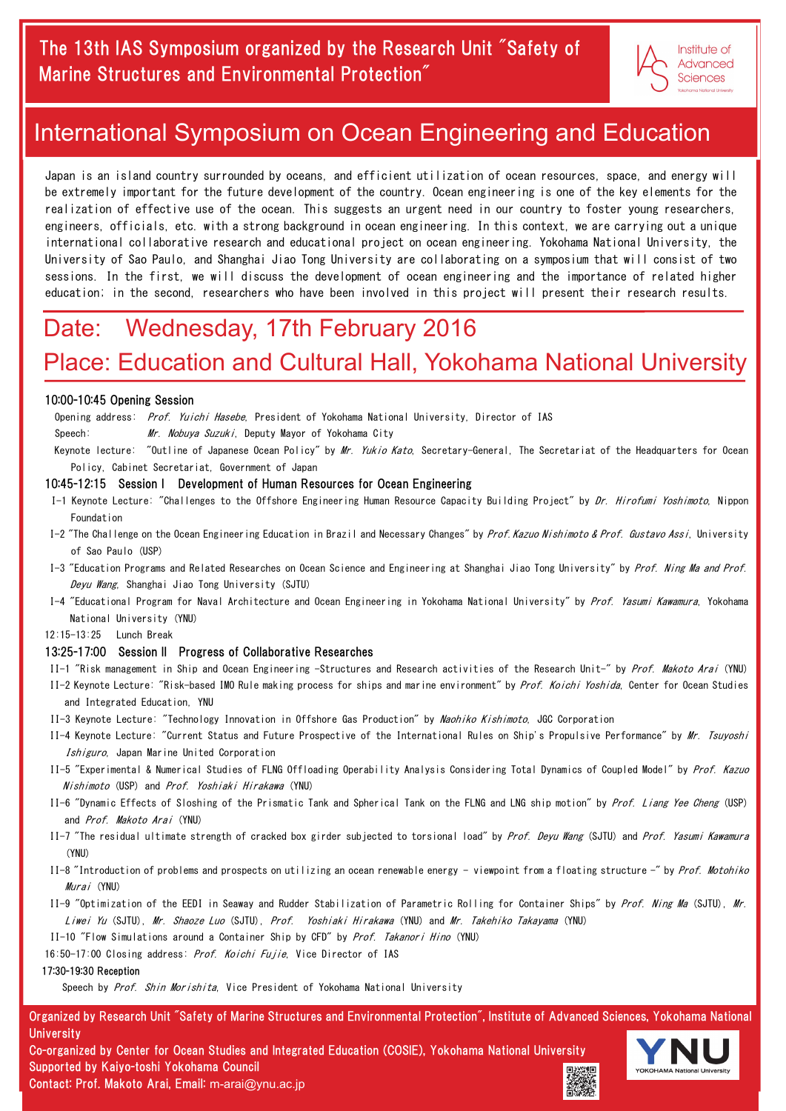Organized by Research Unit "Safety of Marine Structures and Environmental Protection", Institute of Advanced Sciences, Yokohama National **University** 

Co-organized by Center for Ocean Studies and Integrated Education (COSIE), Yokohama National University Supported by Kaiyo-toshi Yokohama Council Contact: Prof. Makoto Arai, Email: m-arai@ynu.ac.jp



### Date: Wednesday, 17th February 2016

### Place: Education and Cultural Hall, Yokohama National University

Keynote lecture: "Outline of Japanese Ocean Policy" by *Mr. Yukio Kato*, Secretary-General, The Secretariat of the Headquarters for Ocean Policy, Cabinet Secretariat, Government of Japan

Japan is an island country surrounded by oceans, and efficient utilization of ocean resources, space, and energy will be extremely important for the future development of the country. Ocean engineering is one of the key elements for the realization of effective use of the ocean. This suggests an urgent need in our country to foster young researchers, engineers, officials, etc. with a strong background in ocean engineering. In this context, we are carrying out a unique international collaborative research and educational project on ocean engineering. Yokohama National University, the University of Sao Paulo, and Shanghai Jiao Tong University are collaborating on a symposium that will consist of two sessions. In the first, we will discuss the development of ocean engineering and the importance of related higher education; in the second, researchers who have been involved in this project will present their research results.

- I-1 Keynote Lecture: "Challenges to the Offshore Engineering Human Resource Capacity Building Project" by *Dr. Hirofumi Yoshimoto*, Nippon Foundation
- I-2 "The Challenge on the Ocean Engineering Education in Brazil and Necessary Changes" by *Prof. Kazuo Nishimoto & Prof. Gustavo Assi*, University of Sao Paulo (USP)
- I-3 "Education Programs and Related Researches on Ocean Science and Engineering at Shanghai Jiao Tong University" by *Prof. Ning Ma and Prof.* Deyu Wang, Shanghai Jiao Tong University (SJTU)
- I-4 "Educational Program for Naval Architecture and Ocean Engineering in Yokohama National University" by Prof. Yasumi Kawamura, Yokohama National University (YNU)

#### 10:00-10:45 Opening Session

Opening address: Prof. Yuichi Hasebe, President of Yokohama National University, Director of IAS

Speech: *Mr. Nobuya Suzuki*, Deputy Mayor of Yokohama City

#### 10:45-12:15 Session I Development of Human Resources for Ocean Engineering

- II-2 Keynote Lecture: "Risk-based IMO Rule making process for ships and marine environment" by Prof. Koichi Yoshida, Center for Ocean Studies and Integrated Education, YNU
- II-3 Keynote Lecture: "Technology Innovation in Offshore Gas Production" by Naohiko Kishimoto, JGC Corporation
- II-4 Keynote Lecture: "Current Status and Future Prospective of the International Rules on Ship's Propulsive Performance" by Mr. Tsuyoshi Ishiguro, Japan Marine United Corporation
- II-5 "Experimental & Numerical Studies of FLNG Offloading Operability Analysis Considering Total Dynamics of Coupled Model" by Prof. Kazuo Nishimoto (USP) and Prof. Yoshiaki Hirakawa (YNU)
- II-6 "Dynamic Effects of Sloshing of the Prismatic Tank and Spherical Tank on the FLNG and LNG ship motion" by Prof. Liang Yee Cheng (USP) and Prof. Makoto Arai (YNU)
- II-7 "The residual ultimate strength of cracked box girder subjected to torsional load" by *Prof. Devu Wang* (SJTU) and *Prof. Yasumi Kawamura*
- (YNU)
- II-8 "Introduction of problems and prospects on utilizing an ocean renewable energy viewpoint from a floating structure -" by Prof. Motohiko Murai (YNU)

12:15-13:25 Lunch Break

#### 13:25-17:00 Session II Progress of Collaborative Researches

II-1 "Risk management in Ship and Ocean Engineering -Structures and Research activities of the Research Unit-" by Prof. Makoto Arai (YNU)

II-9 "Optimization of the EEDI in Seaway and Rudder Stabilization of Parametric Rolling for Container Ships" by Prof. Ning Ma (SJTU), Mr. Liwei Yu (SJTU), Mr. Shaoze Luo (SJTU), Prof. Yoshiaki Hirakawa (YNU) and Mr. Takehiko Takayama (YNU) II-10 "Flow Simulations around a Container Ship by CFD" by Prof. Takanori Hino (YNU) 16:50-17:00 Closing address: Prof. Koichi Fujie, Vice Director of IAS 17:30-19:30 Reception

Speech by *Prof. Shin Morishita*, Vice President of Yokohama National University



### International Symposium on Ocean Engineering and Education